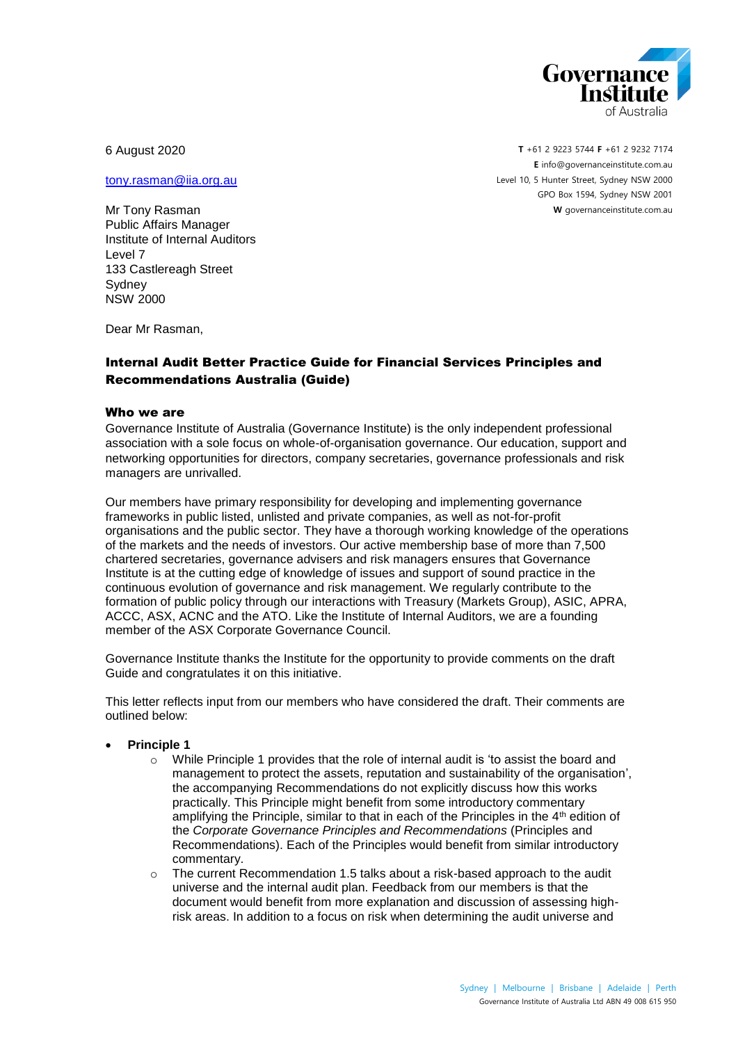

6 August 2020

Mr Tony Rasman Public Affairs Manager Institute of Internal Auditors

Level 7

[tony.rasman@iia.org.au](mailto:tony.rasman@iia.org.au)

**T** +61 2 9223 5744 **F** +61 2 9232 7174 **E** [info@governanceinstitute.com.au](mailto:info@governanceinstitute.com.au) Level 10, 5 Hunter Street, Sydney NSW 2000 GPO Box 1594, Sydney NSW 2001 **W** governanceinstitute.com.au

Sydney NSW 2000

133 Castlereagh Street

Dear Mr Rasman,

## Internal Audit Better Practice Guide for Financial Services Principles and Recommendations Australia (Guide)

## Who we are

Governance Institute of Australia (Governance Institute) is the only independent professional association with a sole focus on whole-of-organisation governance. Our education, support and networking opportunities for directors, company secretaries, governance professionals and risk managers are unrivalled.

Our members have primary responsibility for developing and implementing governance frameworks in public listed, unlisted and private companies, as well as not-for-profit organisations and the public sector. They have a thorough working knowledge of the operations of the markets and the needs of investors. Our active membership base of more than 7,500 chartered secretaries, governance advisers and risk managers ensures that Governance Institute is at the cutting edge of knowledge of issues and support of sound practice in the continuous evolution of governance and risk management. We regularly contribute to the formation of public policy through our interactions with Treasury (Markets Group), ASIC, APRA, ACCC, ASX, ACNC and the ATO. Like the Institute of Internal Auditors, we are a founding member of the ASX Corporate Governance Council.

Governance Institute thanks the Institute for the opportunity to provide comments on the draft Guide and congratulates it on this initiative.

This letter reflects input from our members who have considered the draft. Their comments are outlined below:

## **Principle 1**

- $\circ$  While Principle 1 provides that the role of internal audit is 'to assist the board and management to protect the assets, reputation and sustainability of the organisation', the accompanying Recommendations do not explicitly discuss how this works practically. This Principle might benefit from some introductory commentary amplifying the Principle, similar to that in each of the Principles in the  $4<sup>th</sup>$  edition of the *Corporate Governance Principles and Recommendations* (Principles and Recommendations). Each of the Principles would benefit from similar introductory commentary.
- o The current Recommendation 1.5 talks about a risk-based approach to the audit universe and the internal audit plan. Feedback from our members is that the document would benefit from more explanation and discussion of assessing highrisk areas. In addition to a focus on risk when determining the audit universe and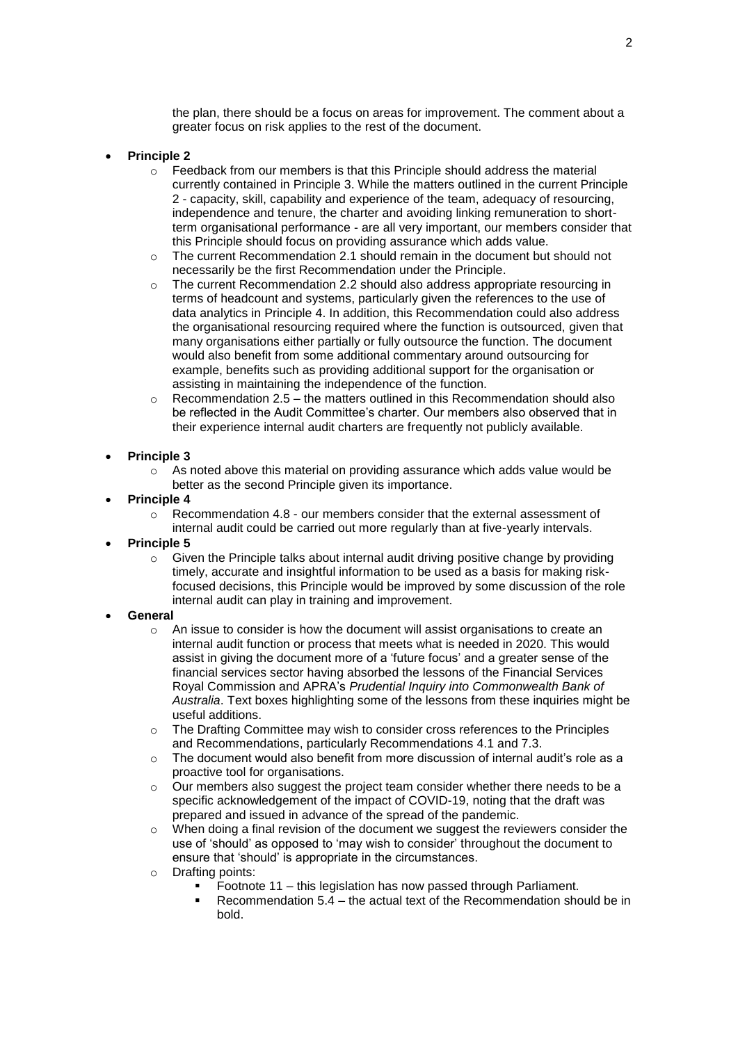the plan, there should be a focus on areas for improvement. The comment about a greater focus on risk applies to the rest of the document.

- **Principle 2**
	- $\circ$  Feedback from our members is that this Principle should address the material currently contained in Principle 3. While the matters outlined in the current Principle 2 - capacity, skill, capability and experience of the team, adequacy of resourcing, independence and tenure, the charter and avoiding linking remuneration to shortterm organisational performance - are all very important, our members consider that this Principle should focus on providing assurance which adds value.
	- $\circ$  The current Recommendation 2.1 should remain in the document but should not necessarily be the first Recommendation under the Principle.
	- $\circ$  The current Recommendation 2.2 should also address appropriate resourcing in terms of headcount and systems, particularly given the references to the use of data analytics in Principle 4. In addition, this Recommendation could also address the organisational resourcing required where the function is outsourced, given that many organisations either partially or fully outsource the function. The document would also benefit from some additional commentary around outsourcing for example, benefits such as providing additional support for the organisation or assisting in maintaining the independence of the function.
	- $\circ$  Recommendation 2.5 the matters outlined in this Recommendation should also be reflected in the Audit Committee's charter. Our members also observed that in their experience internal audit charters are frequently not publicly available.

## **Principle 3**

- o As noted above this material on providing assurance which adds value would be better as the second Principle given its importance.
- **Principle 4** 
	- $\circ$  Recommendation 4.8 our members consider that the external assessment of internal audit could be carried out more regularly than at five-yearly intervals.
- **Principle 5** 
	- $\circ$  Given the Principle talks about internal audit driving positive change by providing timely, accurate and insightful information to be used as a basis for making riskfocused decisions, this Principle would be improved by some discussion of the role internal audit can play in training and improvement.
- **General**
	- o An issue to consider is how the document will assist organisations to create an internal audit function or process that meets what is needed in 2020. This would assist in giving the document more of a 'future focus' and a greater sense of the financial services sector having absorbed the lessons of the Financial Services Royal Commission and APRA's *Prudential Inquiry into Commonwealth Bank of Australia*. Text boxes highlighting some of the lessons from these inquiries might be useful additions.
	- $\circ$  The Drafting Committee may wish to consider cross references to the Principles and Recommendations, particularly Recommendations 4.1 and 7.3.
	- $\circ$  The document would also benefit from more discussion of internal audit's role as a proactive tool for organisations.
	- $\circ$  Our members also suggest the project team consider whether there needs to be a specific acknowledgement of the impact of COVID-19, noting that the draft was prepared and issued in advance of the spread of the pandemic.
	- $\circ$  When doing a final revision of the document we suggest the reviewers consider the use of 'should' as opposed to 'may wish to consider' throughout the document to ensure that 'should' is appropriate in the circumstances.
	- o Drafting points:
		- Footnote 11 this legislation has now passed through Parliament.
		- Recommendation 5.4 the actual text of the Recommendation should be in bold.